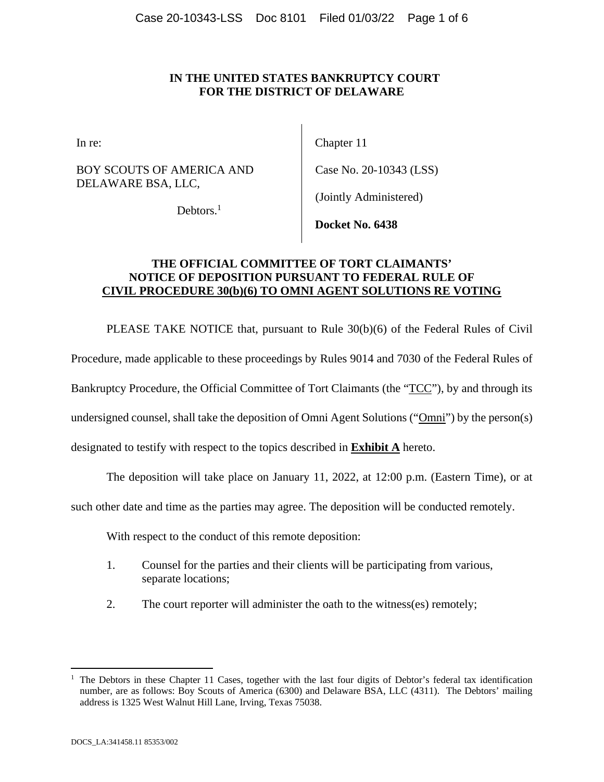### **IN THE UNITED STATES BANKRUPTCY COURT FOR THE DISTRICT OF DELAWARE**

BOY SCOUTS OF AMERICA AND DELAWARE BSA, LLC,

In re: Chapter 11

Case No. 20-10343 (LSS)

Debtors.<sup>1</sup>

(Jointly Administered)

**Docket No. 6438** 

### **THE OFFICIAL COMMITTEE OF TORT CLAIMANTS' NOTICE OF DEPOSITION PURSUANT TO FEDERAL RULE OF CIVIL PROCEDURE 30(b)(6) TO OMNI AGENT SOLUTIONS RE VOTING**

PLEASE TAKE NOTICE that, pursuant to Rule 30(b)(6) of the Federal Rules of Civil

Procedure, made applicable to these proceedings by Rules 9014 and 7030 of the Federal Rules of

Bankruptcy Procedure, the Official Committee of Tort Claimants (the "TCC"), by and through its

undersigned counsel, shall take the deposition of Omni Agent Solutions ("Omni") by the person(s)

designated to testify with respect to the topics described in **Exhibit A** hereto.

The deposition will take place on January 11, 2022, at 12:00 p.m. (Eastern Time), or at

such other date and time as the parties may agree. The deposition will be conducted remotely.

With respect to the conduct of this remote deposition:

- 1. Counsel for the parties and their clients will be participating from various, separate locations;
- 2. The court reporter will administer the oath to the witness(es) remotely;

 $\overline{a}$ 

<sup>&</sup>lt;sup>1</sup> The Debtors in these Chapter 11 Cases, together with the last four digits of Debtor's federal tax identification number, are as follows: Boy Scouts of America (6300) and Delaware BSA, LLC (4311). The Debtors' mailing address is 1325 West Walnut Hill Lane, Irving, Texas 75038.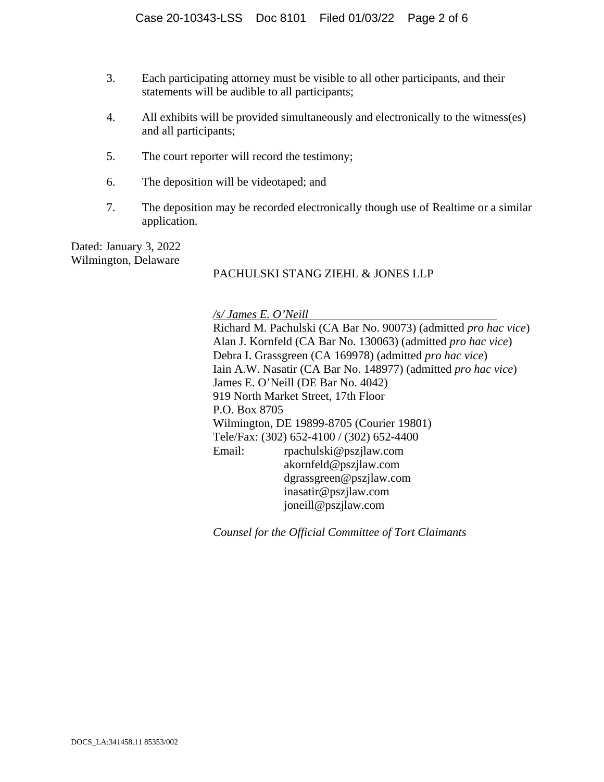- 3. Each participating attorney must be visible to all other participants, and their statements will be audible to all participants;
- 4. All exhibits will be provided simultaneously and electronically to the witness(es) and all participants;
- 5. The court reporter will record the testimony;
- 6. The deposition will be videotaped; and
- 7. The deposition may be recorded electronically though use of Realtime or a similar application.

Dated: January 3, 2022 Wilmington, Delaware

### PACHULSKI STANG ZIEHL & JONES LLP

*/s/ James E. O'Neill* 

Richard M. Pachulski (CA Bar No. 90073) (admitted *pro hac vice*) Alan J. Kornfeld (CA Bar No. 130063) (admitted *pro hac vice*) Debra I. Grassgreen (CA 169978) (admitted *pro hac vice*) Iain A.W. Nasatir (CA Bar No. 148977) (admitted *pro hac vice*) James E. O'Neill (DE Bar No. 4042) 919 North Market Street, 17th Floor P.O. Box 8705 Wilmington, DE 19899-8705 (Courier 19801) Tele/Fax: (302) 652-4100 / (302) 652-4400 Email: rpachulski@pszjlaw.com akornfeld@pszjlaw.com dgrassgreen@pszjlaw.com inasatir@pszjlaw.com joneill@pszjlaw.com

*Counsel for the Official Committee of Tort Claimants*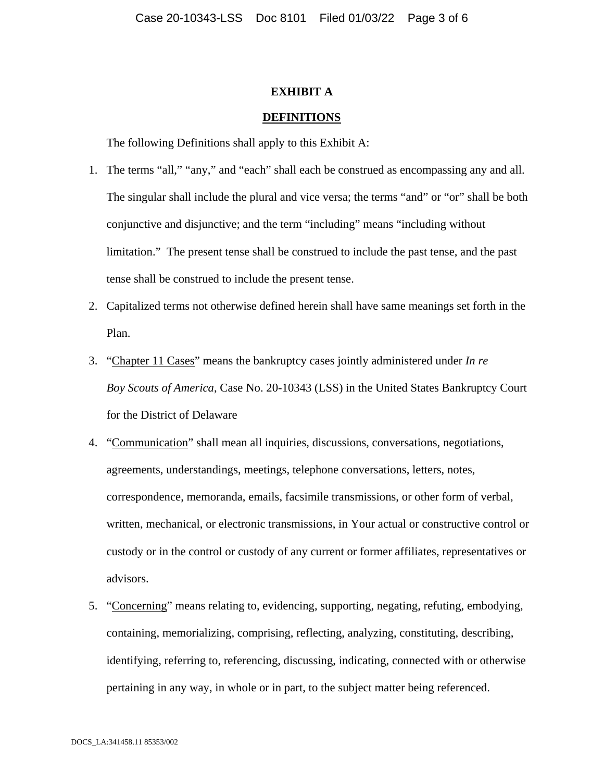#### **EXHIBIT A**

#### **DEFINITIONS**

The following Definitions shall apply to this Exhibit A:

- 1. The terms "all," "any," and "each" shall each be construed as encompassing any and all. The singular shall include the plural and vice versa; the terms "and" or "or" shall be both conjunctive and disjunctive; and the term "including" means "including without limitation." The present tense shall be construed to include the past tense, and the past tense shall be construed to include the present tense.
- 2. Capitalized terms not otherwise defined herein shall have same meanings set forth in the Plan.
- 3. "Chapter 11 Cases" means the bankruptcy cases jointly administered under *In re Boy Scouts of America*, Case No. 20-10343 (LSS) in the United States Bankruptcy Court for the District of Delaware
- 4. "Communication" shall mean all inquiries, discussions, conversations, negotiations, agreements, understandings, meetings, telephone conversations, letters, notes, correspondence, memoranda, emails, facsimile transmissions, or other form of verbal, written, mechanical, or electronic transmissions, in Your actual or constructive control or custody or in the control or custody of any current or former affiliates, representatives or advisors.
- 5. "Concerning" means relating to, evidencing, supporting, negating, refuting, embodying, containing, memorializing, comprising, reflecting, analyzing, constituting, describing, identifying, referring to, referencing, discussing, indicating, connected with or otherwise pertaining in any way, in whole or in part, to the subject matter being referenced.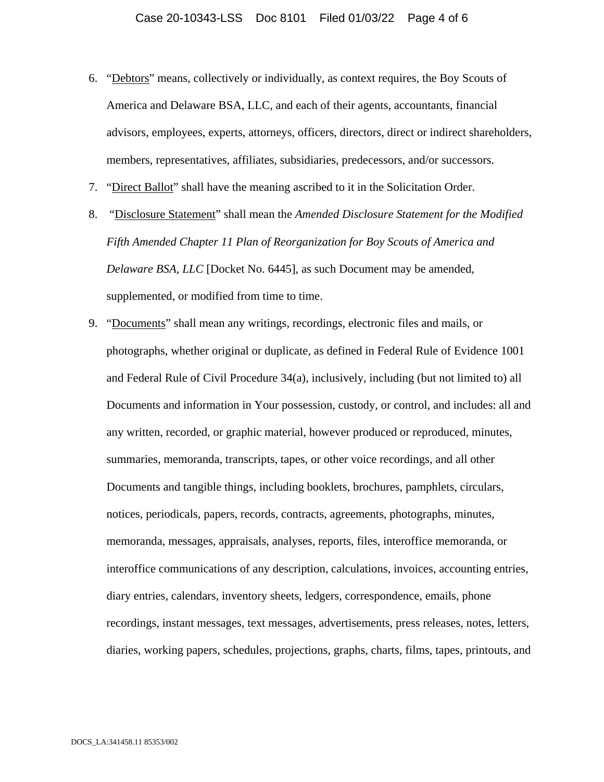- 6. "Debtors" means, collectively or individually, as context requires, the Boy Scouts of America and Delaware BSA, LLC, and each of their agents, accountants, financial advisors, employees, experts, attorneys, officers, directors, direct or indirect shareholders, members, representatives, affiliates, subsidiaries, predecessors, and/or successors.
- 7. "Direct Ballot" shall have the meaning ascribed to it in the Solicitation Order.
- 8. "Disclosure Statement" shall mean the *Amended Disclosure Statement for the Modified Fifth Amended Chapter 11 Plan of Reorganization for Boy Scouts of America and Delaware BSA, LLC* [Docket No. 6445], as such Document may be amended, supplemented, or modified from time to time.
- 9. "Documents" shall mean any writings, recordings, electronic files and mails, or photographs, whether original or duplicate, as defined in Federal Rule of Evidence 1001 and Federal Rule of Civil Procedure 34(a), inclusively, including (but not limited to) all Documents and information in Your possession, custody, or control, and includes: all and any written, recorded, or graphic material, however produced or reproduced, minutes, summaries, memoranda, transcripts, tapes, or other voice recordings, and all other Documents and tangible things, including booklets, brochures, pamphlets, circulars, notices, periodicals, papers, records, contracts, agreements, photographs, minutes, memoranda, messages, appraisals, analyses, reports, files, interoffice memoranda, or interoffice communications of any description, calculations, invoices, accounting entries, diary entries, calendars, inventory sheets, ledgers, correspondence, emails, phone recordings, instant messages, text messages, advertisements, press releases, notes, letters, diaries, working papers, schedules, projections, graphs, charts, films, tapes, printouts, and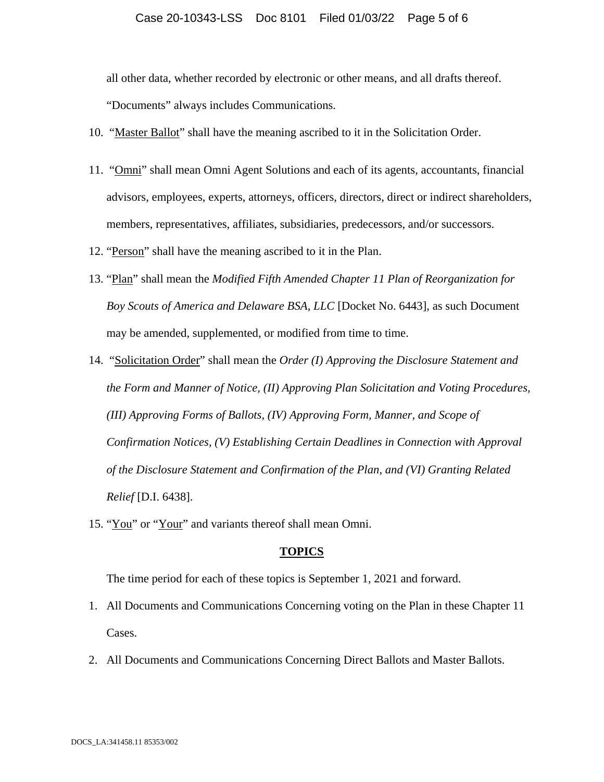#### Case 20-10343-LSS Doc 8101 Filed 01/03/22 Page 5 of 6

all other data, whether recorded by electronic or other means, and all drafts thereof.

"Documents" always includes Communications.

- 10. "Master Ballot" shall have the meaning ascribed to it in the Solicitation Order.
- 11. "Omni" shall mean Omni Agent Solutions and each of its agents, accountants, financial advisors, employees, experts, attorneys, officers, directors, direct or indirect shareholders, members, representatives, affiliates, subsidiaries, predecessors, and/or successors.
- 12. "Person" shall have the meaning ascribed to it in the Plan.
- 13. "Plan" shall mean the *Modified Fifth Amended Chapter 11 Plan of Reorganization for Boy Scouts of America and Delaware BSA, LLC* [Docket No. 6443], as such Document may be amended, supplemented, or modified from time to time.
- 14. "Solicitation Order" shall mean the *Order (I) Approving the Disclosure Statement and the Form and Manner of Notice, (II) Approving Plan Solicitation and Voting Procedures, (III) Approving Forms of Ballots, (IV) Approving Form, Manner, and Scope of Confirmation Notices, (V) Establishing Certain Deadlines in Connection with Approval of the Disclosure Statement and Confirmation of the Plan, and (VI) Granting Related Relief* [D.I. 6438].
- 15. "You" or "Your" and variants thereof shall mean Omni.

#### **TOPICS**

The time period for each of these topics is September 1, 2021 and forward.

- 1. All Documents and Communications Concerning voting on the Plan in these Chapter 11 Cases.
- 2. All Documents and Communications Concerning Direct Ballots and Master Ballots.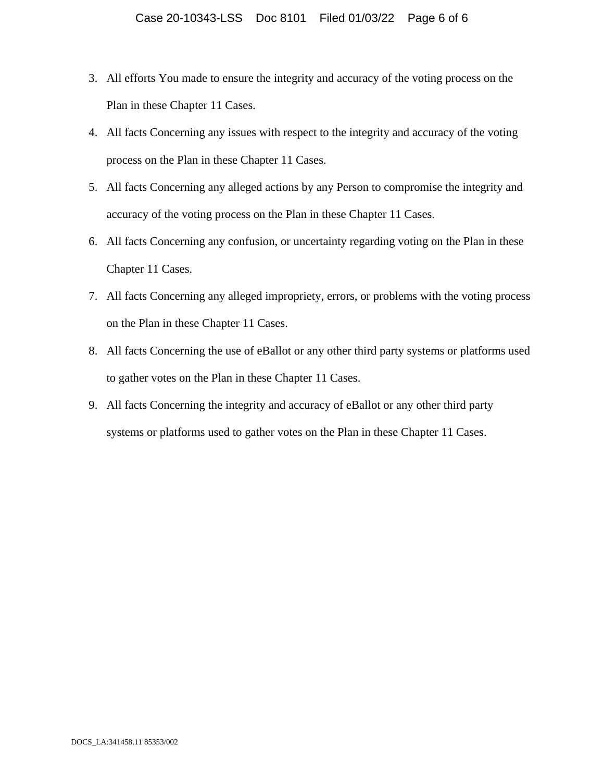- 3. All efforts You made to ensure the integrity and accuracy of the voting process on the Plan in these Chapter 11 Cases.
- 4. All facts Concerning any issues with respect to the integrity and accuracy of the voting process on the Plan in these Chapter 11 Cases.
- 5. All facts Concerning any alleged actions by any Person to compromise the integrity and accuracy of the voting process on the Plan in these Chapter 11 Cases.
- 6. All facts Concerning any confusion, or uncertainty regarding voting on the Plan in these Chapter 11 Cases.
- 7. All facts Concerning any alleged impropriety, errors, or problems with the voting process on the Plan in these Chapter 11 Cases.
- 8. All facts Concerning the use of eBallot or any other third party systems or platforms used to gather votes on the Plan in these Chapter 11 Cases.
- 9. All facts Concerning the integrity and accuracy of eBallot or any other third party systems or platforms used to gather votes on the Plan in these Chapter 11 Cases.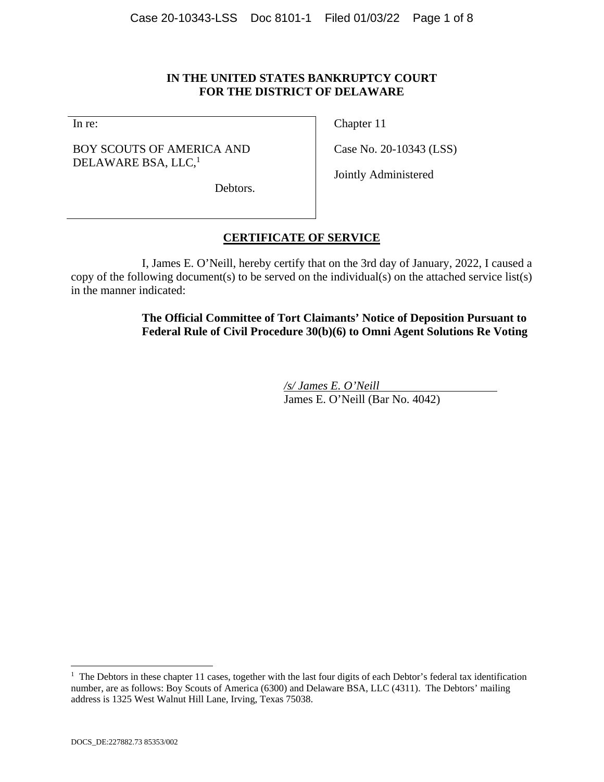### **IN THE UNITED STATES BANKRUPTCY COURT FOR THE DISTRICT OF DELAWARE**

In re:

### BOY SCOUTS OF AMERICA AND DELAWARE BSA, LLC,<sup>1</sup>

Chapter 11

Case No. 20-10343 (LSS)

Jointly Administered

Debtors.

## **CERTIFICATE OF SERVICE**

I, James E. O'Neill, hereby certify that on the 3rd day of January, 2022, I caused a copy of the following document(s) to be served on the individual(s) on the attached service list(s) in the manner indicated:

> **The Official Committee of Tort Claimants' Notice of Deposition Pursuant to Federal Rule of Civil Procedure 30(b)(6) to Omni Agent Solutions Re Voting**

> > */s/ James E. O'Neill*  James E. O'Neill (Bar No. 4042)

l

<sup>&</sup>lt;sup>1</sup> The Debtors in these chapter 11 cases, together with the last four digits of each Debtor's federal tax identification number, are as follows: Boy Scouts of America (6300) and Delaware BSA, LLC (4311). The Debtors' mailing address is 1325 West Walnut Hill Lane, Irving, Texas 75038.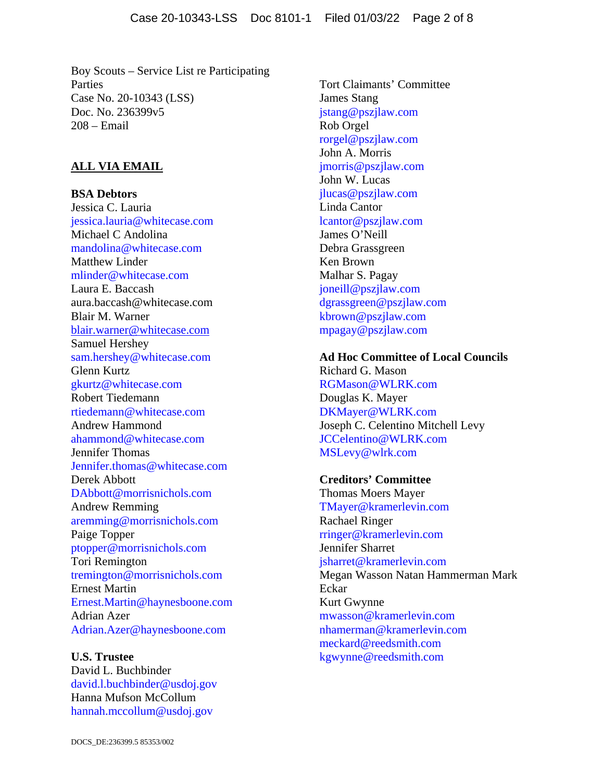Boy Scouts – Service List re Participating Parties Case No. 20-10343 (LSS) Doc. No. 236399v5 208 – Email

## **ALL VIA EMAIL**

**BSA Debtors**  Jessica C. Lauria jessica.lauria@whitecase.com Michael C Andolina mandolina@whitecase.com Matthew Linder mlinder@whitecase.com Laura E. Baccash aura.baccash@whitecase.com Blair M. Warner blair.warner@whitecase.com Samuel Hershey sam.hershey@whitecase.com Glenn Kurtz gkurtz@whitecase.com Robert Tiedemann rtiedemann@whitecase.com Andrew Hammond ahammond@whitecase.com Jennifer Thomas Jennifer.thomas@whitecase.com Derek Abbott DAbbott@morrisnichols.com Andrew Remming aremming@morrisnichols.com Paige Topper ptopper@morrisnichols.com Tori Remington tremington@morrisnichols.com Ernest Martin Ernest.Martin@haynesboone.com Adrian Azer Adrian.Azer@haynesboone.com

**U.S. Trustee**  David L. Buchbinder david.l.buchbinder@usdoj.gov Hanna Mufson McCollum hannah.mccollum@usdoj.gov

Tort Claimants' Committee James Stang jstang@pszjlaw.com Rob Orgel rorgel@pszjlaw.com John A. Morris jmorris@pszjlaw.com John W. Lucas jlucas@pszjlaw.com Linda Cantor lcantor@pszjlaw.com James O'Neill Debra Grassgreen Ken Brown Malhar S. Pagay joneill@pszjlaw.com dgrassgreen@pszjlaw.com kbrown@pszjlaw.com mpagay@pszjlaw.com

**Ad Hoc Committee of Local Councils**  Richard G. Mason RGMason@WLRK.com Douglas K. Mayer DKMayer@WLRK.com Joseph C. Celentino Mitchell Levy JCCelentino@WLRK.com MSLevy@wlrk.com

**Creditors' Committee**  Thomas Moers Mayer TMayer@kramerlevin.com Rachael Ringer rringer@kramerlevin.com Jennifer Sharret jsharret@kramerlevin.com Megan Wasson Natan Hammerman Mark Eckar Kurt Gwynne mwasson@kramerlevin.com nhamerman@kramerlevin.com meckard@reedsmith.com kgwynne@reedsmith.com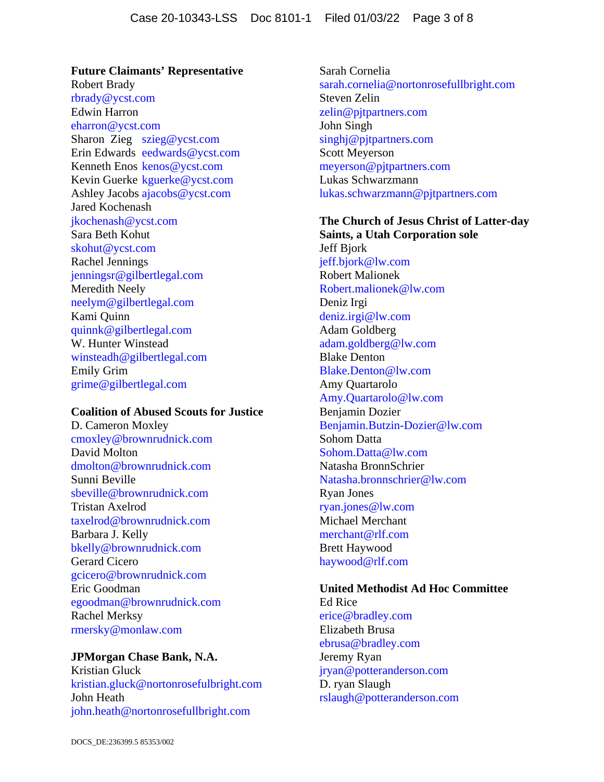**Future Claimants' Representative**  Robert Brady rbrady@ycst.com Edwin Harron eharron@ycst.com Sharon Zieg szieg@ycst.com Erin Edwards eedwards@ycst.com Kenneth Enos kenos@ycst.com Kevin Guerke kguerke@ycst.com Ashley Jacobs ajacobs@ycst.com Jared Kochenash jkochenash@ycst.com Sara Beth Kohut skohut@ycst.com Rachel Jennings jenningsr@gilbertlegal.com Meredith Neely neelym@gilbertlegal.com Kami Quinn quinnk@gilbertlegal.com W. Hunter Winstead winsteadh@gilbertlegal.com Emily Grim grime@gilbertlegal.com

### **Coalition of Abused Scouts for Justice**

D. Cameron Moxley cmoxley@brownrudnick.com David Molton dmolton@brownrudnick.com Sunni Beville sbeville@brownrudnick.com Tristan Axelrod taxelrod@brownrudnick.com Barbara J. Kelly bkelly@brownrudnick.com Gerard Cicero gcicero@brownrudnick.com Eric Goodman egoodman@brownrudnick.com Rachel Merksy rmersky@monlaw.com

## **JPMorgan Chase Bank, N.A.**

Kristian Gluck kristian.gluck@nortonrosefulbright.com John Heath john.heath@nortonrosefullbright.com

Sarah Cornelia sarah.cornelia@nortonrosefullbright.com Steven Zelin zelin@pjtpartners.com John Singh singhj@pjtpartners.com Scott Meyerson meyerson@pjtpartners.com Lukas Schwarzmann lukas.schwarzmann@pjtpartners.com

**The Church of Jesus Christ of Latter-day Saints, a Utah Corporation sole**  Jeff Bjork jeff.bjork@lw.com Robert Malionek Robert.malionek@lw.com Deniz Irgi deniz.irgi@lw.com Adam Goldberg adam.goldberg@lw.com Blake Denton Blake.Denton@lw.com Amy Quartarolo Amy.Quartarolo@lw.com Benjamin Dozier Benjamin.Butzin-Dozier@lw.com Sohom Datta Sohom.Datta@lw.com Natasha BronnSchrier Natasha.bronnschrier@lw.com Ryan Jones ryan.jones@lw.com Michael Merchant merchant@rlf.com Brett Haywood haywood@rlf.com

## **United Methodist Ad Hoc Committee**

Ed Rice erice@bradley.com Elizabeth Brusa ebrusa@bradley.com Jeremy Ryan jryan@potteranderson.com D. ryan Slaugh rslaugh@potteranderson.com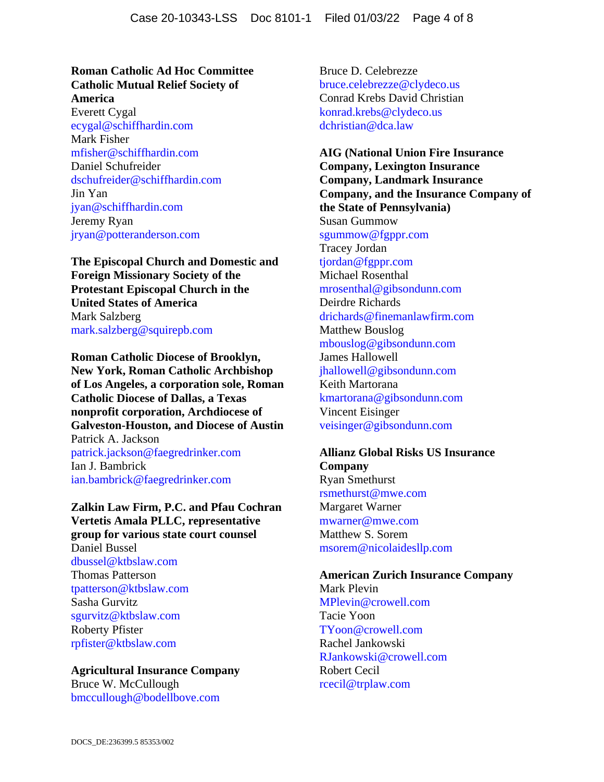### **Roman Catholic Ad Hoc Committee Catholic Mutual Relief Society of America**

Everett Cygal ecygal@schiffhardin.com Mark Fisher mfisher@schiffhardin.com Daniel Schufreider dschufreider@schiffhardin.com Jin Yan jyan@schiffhardin.com Jeremy Ryan jryan@potteranderson.com

**The Episcopal Church and Domestic and Foreign Missionary Society of the Protestant Episcopal Church in the United States of America**  Mark Salzberg mark.salzberg@squirepb.com

**Roman Catholic Diocese of Brooklyn, New York, Roman Catholic Archbishop of Los Angeles, a corporation sole, Roman Catholic Diocese of Dallas, a Texas nonprofit corporation, Archdiocese of Galveston-Houston, and Diocese of Austin**  Patrick A. Jackson patrick.jackson@faegredrinker.com

Ian J. Bambrick ian.bambrick@faegredrinker.com

**Zalkin Law Firm, P.C. and Pfau Cochran Vertetis Amala PLLC, representative group for various state court counsel**  Daniel Bussel dbussel@ktbslaw.com

Thomas Patterson tpatterson@ktbslaw.com Sasha Gurvitz sgurvitz@ktbslaw.com Roberty Pfister rpfister@ktbslaw.com

## **Agricultural Insurance Company**

Bruce W. McCullough bmccullough@bodellbove.com Bruce D. Celebrezze bruce.celebrezze@clydeco.us Conrad Krebs David Christian konrad.krebs@clydeco.us dchristian@dca.law

**AIG (National Union Fire Insurance Company, Lexington Insurance Company, Landmark Insurance Company, and the Insurance Company of the State of Pennsylvania)**  Susan Gummow sgummow@fgppr.com Tracey Jordan tjordan@fgppr.com Michael Rosenthal mrosenthal@gibsondunn.com Deirdre Richards drichards@finemanlawfirm.com Matthew Bouslog mbouslog@gibsondunn.com James Hallowell jhallowell@gibsondunn.com Keith Martorana kmartorana@gibsondunn.com Vincent Eisinger veisinger@gibsondunn.com

### **Allianz Global Risks US Insurance Company**

Ryan Smethurst rsmethurst@mwe.com Margaret Warner mwarner@mwe.com Matthew S. Sorem msorem@nicolaidesllp.com

### **American Zurich Insurance Company**  Mark Plevin MPlevin@crowell.com Tacie Yoon TYoon@crowell.com

Rachel Jankowski RJankowski@crowell.com Robert Cecil rcecil@trplaw.com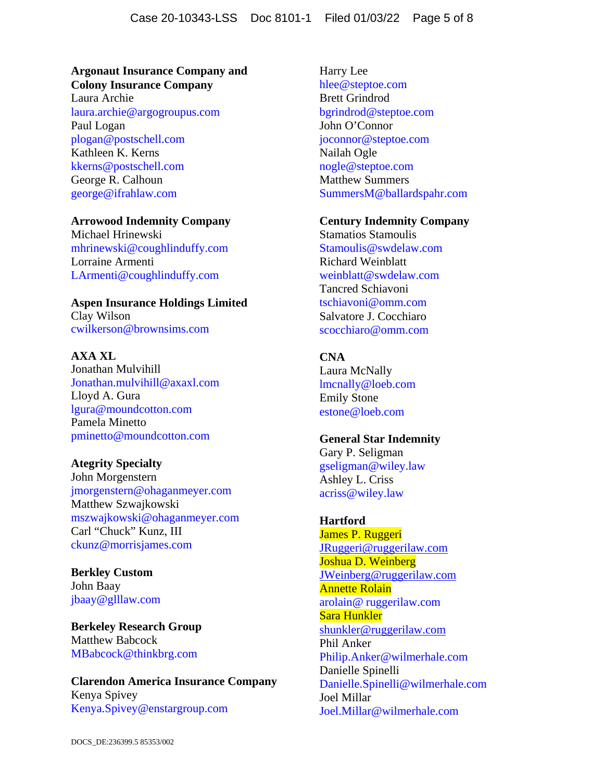## **Argonaut Insurance Company and Colony Insurance Company**

Laura Archie laura.archie@argogroupus.com Paul Logan plogan@postschell.com Kathleen K. Kerns kkerns@postschell.com George R. Calhoun george@ifrahlaw.com

### **Arrowood Indemnity Company**

Michael Hrinewski mhrinewski@coughlinduffy.com Lorraine Armenti LArmenti@coughlinduffy.com

# **Aspen Insurance Holdings Limited**

Clay Wilson cwilkerson@brownsims.com

## **AXA XL**

Jonathan Mulvihill Jonathan.mulvihill@axaxl.com Lloyd A. Gura lgura@moundcotton.com Pamela Minetto pminetto@moundcotton.com

## **Ategrity Specialty**

John Morgenstern jmorgenstern@ohaganmeyer.com Matthew Szwajkowski mszwajkowski@ohaganmeyer.com Carl "Chuck" Kunz, III ckunz@morrisjames.com

**Berkley Custom**  John Baay jbaay@glllaw.com

**Berkeley Research Group**  Matthew Babcock MBabcock@thinkbrg.com

## **Clarendon America Insurance Company**  Kenya Spivey Kenya.Spivey@enstargroup.com

Harry Lee hlee@steptoe.com Brett Grindrod bgrindrod@steptoe.com John O'Connor joconnor@steptoe.com Nailah Ogle nogle@steptoe.com Matthew Summers SummersM@ballardspahr.com

### **Century Indemnity Company**

Stamatios Stamoulis Stamoulis@swdelaw.com Richard Weinblatt weinblatt@swdelaw.com Tancred Schiavoni tschiavoni@omm.com Salvatore J. Cocchiaro scocchiaro@omm.com

## **CNA**

Laura McNally lmcnally@loeb.com Emily Stone estone@loeb.com

## **General Star Indemnity**

Gary P. Seligman gseligman@wiley.law Ashley L. Criss acriss@wiley.law

## **Hartford**

James P. Ruggeri JRuggeri@ruggerilaw.com Joshua D. Weinberg JWeinberg@ruggerilaw.com Annette Rolain arolain@ ruggerilaw.com Sara Hunkler shunkler@ruggerilaw.com Phil Anker Philip.Anker@wilmerhale.com Danielle Spinelli Danielle.Spinelli@wilmerhale.com Joel Millar Joel.Millar@wilmerhale.com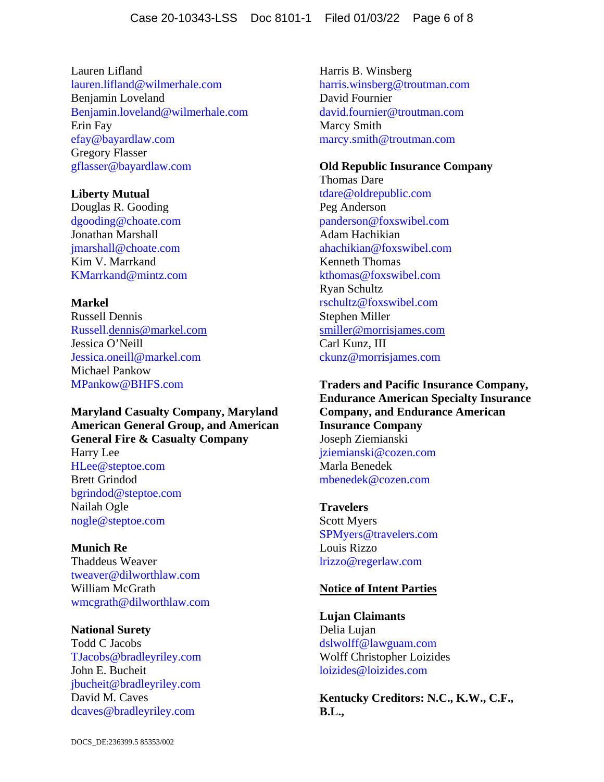Lauren Lifland lauren.lifland@wilmerhale.com Benjamin Loveland Benjamin.loveland@wilmerhale.com Erin Fay efay@bayardlaw.com Gregory Flasser gflasser@bayardlaw.com

### **Liberty Mutual**

Douglas R. Gooding dgooding@choate.com Jonathan Marshall jmarshall@choate.com Kim V. Marrkand KMarrkand@mintz.com

### **Markel**

Russell Dennis Russell.dennis@markel.com Jessica O'Neill Jessica.oneill@markel.com Michael Pankow MPankow@BHFS.com

**Maryland Casualty Company, Maryland American General Group, and American General Fire & Casualty Company**  Harry Lee HLee@steptoe.com Brett Grindod bgrindod@steptoe.com Nailah Ogle nogle@steptoe.com

**Munich Re**  Thaddeus Weaver tweaver@dilworthlaw.com William McGrath wmcgrath@dilworthlaw.com

**National Surety**  Todd C Jacobs TJacobs@bradleyriley.com John E. Bucheit jbucheit@bradleyriley.com David M. Caves dcaves@bradleyriley.com

Harris B. Winsberg harris.winsberg@troutman.com David Fournier david.fournier@troutman.com Marcy Smith marcy.smith@troutman.com

### **Old Republic Insurance Company**

Thomas Dare tdare@oldrepublic.com Peg Anderson panderson@foxswibel.com Adam Hachikian ahachikian@foxswibel.com Kenneth Thomas kthomas@foxswibel.com Ryan Schultz rschultz@foxswibel.com Stephen Miller smiller@morrisjames.com Carl Kunz, III ckunz@morrisjames.com

**Traders and Pacific Insurance Company, Endurance American Specialty Insurance Company, and Endurance American Insurance Company**  Joseph Ziemianski jziemianski@cozen.com Marla Benedek mbenedek@cozen.com

**Travelers**  Scott Myers SPMyers@travelers.com Louis Rizzo lrizzo@regerlaw.com

### **Notice of Intent Parties**

**Lujan Claimants**  Delia Lujan dslwolff@lawguam.com Wolff Christopher Loizides loizides@loizides.com

**Kentucky Creditors: N.C., K.W., C.F., B.L.,**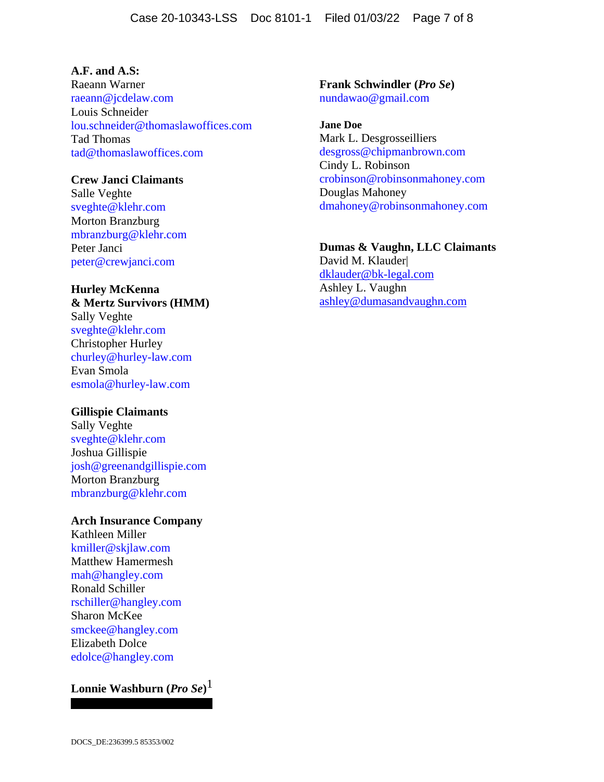### **A.F. and A.S:**

Raeann Warner raeann@jcdelaw.com Louis Schneider lou.schneider@thomaslawoffices.com Tad Thomas tad@thomaslawoffices.com

### **Crew Janci Claimants**

Salle Veghte sveghte@klehr.com Morton Branzburg mbranzburg@klehr.com Peter Janci peter@crewjanci.com

# **Hurley McKenna**

**& Mertz Survivors (HMM)**  Sally Veghte sveghte@klehr.com Christopher Hurley churley@hurley-law.com Evan Smola esmola@hurley-law.com

### **Gillispie Claimants**

Sally Veghte sveghte@klehr.com Joshua Gillispie josh@greenandgillispie.com Morton Branzburg mbranzburg@klehr.com

### **Arch Insurance Company**

Kathleen Miller kmiller@skjlaw.com Matthew Hamermesh mah@hangley.com Ronald Schiller rschiller@hangley.com Sharon McKee smckee@hangley.com Elizabeth Dolce edolce@hangley.com

# **Lonnie Washburn (***Pro Se***)** 1

**Frank Schwindler (***Pro Se***)**  nundawao@gmail.com

**Jane Doe**  Mark L. Desgrosseilliers desgross@chipmanbrown.com Cindy L. Robinson crobinson@robinsonmahoney.com Douglas Mahoney dmahoney@robinsonmahoney.com

### **Dumas & Vaughn, LLC Claimants**

David M. Klauder| dklauder@bk-legal.com Ashley L. Vaughn ashley@dumasandvaughn.com